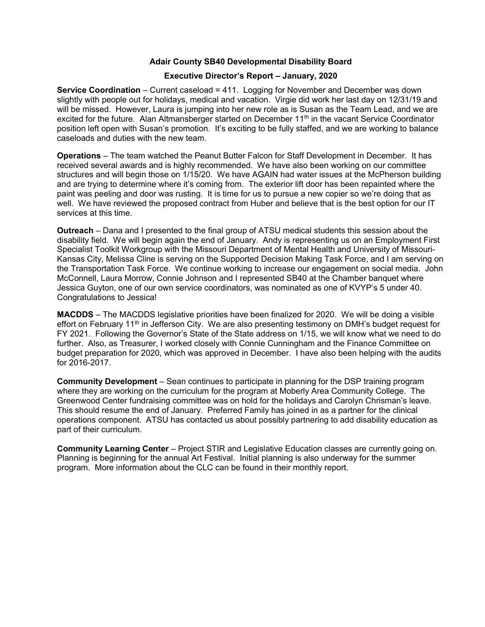## Adair County SB40 Developmental Disability Board

## Executive Director's Report – January, 2020

Service Coordination – Current caseload = 411. Logging for November and December was down slightly with people out for holidays, medical and vacation. Virgie did work her last day on 12/31/19 and will be missed. However, Laura is jumping into her new role as is Susan as the Team Lead, and we are excited for the future. Alan Altmansberger started on December 11<sup>th</sup> in the vacant Service Coordinator position left open with Susan's promotion. It's exciting to be fully staffed, and we are working to balance caseloads and duties with the new team.

Operations – The team watched the Peanut Butter Falcon for Staff Development in December. It has received several awards and is highly recommended. We have also been working on our committee structures and will begin those on 1/15/20. We have AGAIN had water issues at the McPherson building and are trying to determine where it's coming from. The exterior lift door has been repainted where the paint was peeling and door was rusting. It is time for us to pursue a new copier so we're doing that as well. We have reviewed the proposed contract from Huber and believe that is the best option for our IT services at this time.

Outreach – Dana and I presented to the final group of ATSU medical students this session about the disability field. We will begin again the end of January. Andy is representing us on an Employment First Specialist Toolkit Workgroup with the Missouri Department of Mental Health and University of Missouri-Kansas City, Melissa Cline is serving on the Supported Decision Making Task Force, and I am serving on the Transportation Task Force. We continue working to increase our engagement on social media. John McConnell, Laura Morrow, Connie Johnson and I represented SB40 at the Chamber banquet where Jessica Guyton, one of our own service coordinators, was nominated as one of KVYP's 5 under 40. Congratulations to Jessica!

MACDDS – The MACDDS legislative priorities have been finalized for 2020. We will be doing a visible effort on February 11<sup>th</sup> in Jefferson City. We are also presenting testimony on DMH's budget request for FY 2021. Following the Governor's State of the State address on 1/15, we will know what we need to do further. Also, as Treasurer, I worked closely with Connie Cunningham and the Finance Committee on budget preparation for 2020, which was approved in December. I have also been helping with the audits for 2016-2017.

Community Development – Sean continues to participate in planning for the DSP training program where they are working on the curriculum for the program at Moberly Area Community College. The Greenwood Center fundraising committee was on hold for the holidays and Carolyn Chrisman's leave. This should resume the end of January. Preferred Family has joined in as a partner for the clinical operations component. ATSU has contacted us about possibly partnering to add disability education as part of their curriculum.

Community Learning Center – Project STIR and Legislative Education classes are currently going on. Planning is beginning for the annual Art Festival. Initial planning is also underway for the summer program. More information about the CLC can be found in their monthly report.